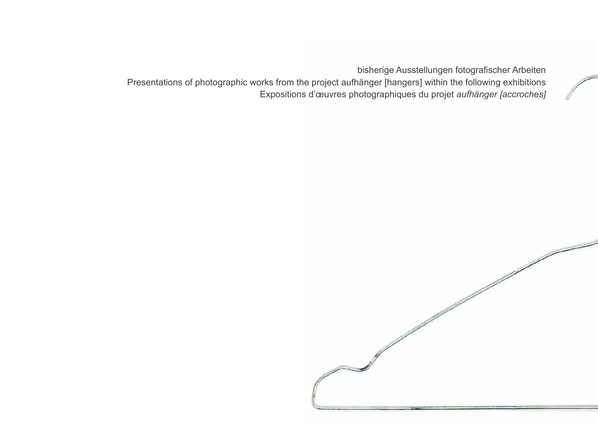18

Presentations of photographic works from the project aufhänger [hangers] within the following exhibitions





bisherige Ausstellungen fotografischer Arbeiten Expositions d'œuvres photographiques du projet *aufhänger [accroches]*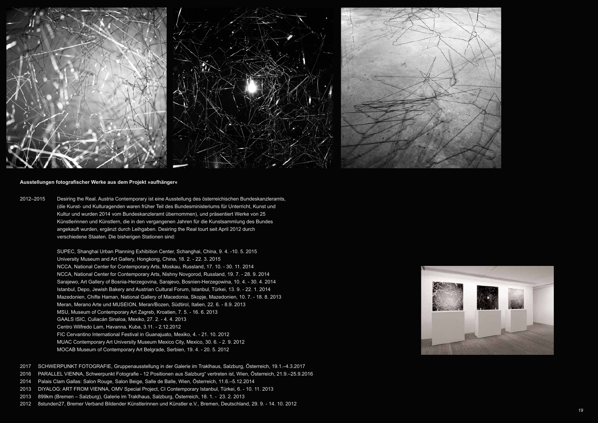

## **Ausstellungen fotografischer Werke aus dem Projekt »aufhänger«**

2012–2015 Desiring the Real. Austria Contemporary ist eine Ausstellung des österreichischen Bundeskanzleramts, (die Kunst- und Kulturagenden waren früher Teil des Bundesministeriums für Unterricht, Kunst und Kultur und wurden 2014 vom Bundeskanzleramt übernommen), und präsentiert Werke von 25 Künstlerinnen und Künstlern, die in den vergangenen Jahren für die Kunstsammlung des Bundes angekauft wurden, ergänzt durch Leihgaben. Desiring the Real tourt seit April 2012 durch verschiedene Staaten. Die bisherigen Stationen sind:

> SUPEC, Shanghai Urban Planning Exhibition Center, Schanghai, China, 9. 4. -10. 5. 2015 University Museum and Art Gallery, Hongkong, China, 18. 2. - 22. 3. 2015 NCCA, National Center for Contemporary Arts, Moskau, Russland, 17. 10. - 30. 11. 2014 NCCA, National Center for Contemporary Arts, Nishny Novgorod, Russland, 19. 7. - 28. 9. 2014 Sarajewo, Art Gallery of Bosnia-Herzegovina, Sarajevo, Bosnien-Herzegowina, 10. 4. - 30. 4. 2014 Istanbul, Depo, Jewish Bakery and Austrian Cultural Forum, Istanbul, Türkei, 13. 9. - 22. 1. 2014 Mazedonien, Chifte Haman, National Gallery of Macedonia, Skopje, Mazedonien, 10. 7. - 18. 8. 2013 Meran, Merano Arte und MUSEION, Meran/Bozen, Südtirol, Italien, 22. 6. - 8.9. 2013 MSU, Museum of Contemporary Art Zagreb, Kroatien, 7. 5. - 16. 6. 2013 GAALS ISIC, Culiacán Sinaloa, Mexiko, 27. 2. - 4. 4. 2013 Centro Wilfredo Lam, Havanna, Kuba, 3.11. - 2.12.2012 FIC Cervantino International Festival in Guanajuato, Mexiko, 4. - 21. 10. 2012 MUAC Contemporary Art University Museum Mexico City, Mexico, 30. 6. - 2. 9. 2012 MOCAB Museum of Contemporary Art Belgrade, Serbien, 19. 4. - 20. 5. 2012

- 2017 SCHWERPUNKT FOTOGRAFIE, Gruppenausstellung in der Galerie im Traklhaus, Salzburg, Österreich, 19.1.–4.3.2017
- 2016 PARALLEL VIENNA, Schwerpunkt Fotografie 12 Positionen aus Salzburg" vertreten ist, Wien, Österreich, 21.9.–25.9.2016
- 2014 Palais Clam Gallas: Salon Rouge, Salon Beige, Salle de Balle, Wien, Österreich, 11.6.–5.12.2014
- 2013 DIYALOG: ART FROM VIENNA, OMV Special Project, CI Contemporary Istanbul, Türkei, 6. 10. 11. 2013
- 2013 899km (Bremen Salzburg), Galerie im Traklhaus, Salzburg, Österreich, 18. 1. 23. 2. 2013
- 2012 8stunden27, Bremer Verband Bildender Künstlerinnen und Künstler e.V., Bremen, Deutschland, 29. 9. 14. 10. 2012





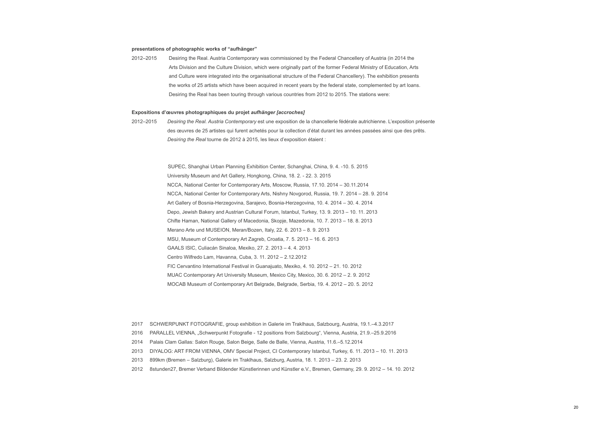## **presentations of photographic works of "aufhänger"**

2012–2015 Desiring the Real. Austria Contemporary was commissioned by the Federal Chancellery of Austria (in 2014 the Arts Division and the Culture Division, which were originally part of the former Federal Ministry of Education, Arts and Culture were integrated into the organisational structure of the Federal Chancellery). The exhibition presents the works of 25 artists which have been acquired in recent years by the federal state, complemented by art loans. Desiring the Real has been touring through various countries from 2012 to 2015. The stations were:

## **Expositions d'œuvres photographiques du projet** *aufhänger [accroches]*

2012–2015 *Desiring the Real. Austria Contemporary* est une exposition de la chancellerie fédérale autrichienne. L'exposition présente des œuvres de 25 artistes qui furent achetés pour la collection d'état durant les années passées ainsi que des prêts. *Desiring the Real* tourne de 2012 à 2015, les lieux d'exposition étaient :

> SUPEC, Shanghai Urban Planning Exhibition Center, Schanghai, China, 9. 4. -10. 5. 2015 University Museum and Art Gallery, Hongkong, China, 18. 2. - 22. 3. 2015 NCCA, National Center for Contemporary Arts, Moscow, Russia, 17.10. 2014 – 30.11.2014 NCCA, National Center for Contemporary Arts, Nishny Novgorod, Russia, 19. 7. 2014 – 28. 9. 2014 Art Gallery of Bosnia-Herzegovina, Sarajevo, Bosnia-Herzegovina, 10. 4. 2014 – 30. 4. 2014 Depo, Jewish Bakery and Austrian Cultural Forum, Istanbul, Turkey, 13. 9. 2013 – 10. 11. 2013 Chifte Haman, National Gallery of Macedonia, Skopje, Mazedonia, 10. 7. 2013 – 18. 8. 2013 Merano Arte und MUSEION, Meran/Bozen, Italy, 22. 6. 2013 – 8. 9. 2013 MSU, Museum of Contemporary Art Zagreb, Croatia, 7. 5. 2013 – 16. 6. 2013 GAALS ISIC, Culiacán Sinaloa, Mexiko, 27. 2. 2013 – 4. 4. 2013 Centro Wilfredo Lam, Havanna, Cuba, 3. 11. 2012 – 2.12.2012 FIC Cervantino International Festival in Guanajuato, Mexiko, 4. 10. 2012 – 21. 10. 2012 MUAC Contemporary Art University Museum, Mexico City, Mexico, 30. 6. 2012 – 2. 9. 2012 MOCAB Museum of Contemporary Art Belgrade, Belgrade, Serbia, 19. 4. 2012 – 20. 5. 2012

- 2017 SCHWERPUNKT FOTOGRAFIE, group exhibition in Galerie im Traklhaus, Salzbourg, Austria, 19.1.–4.3.2017
- 2016 PARALLEL VIENNA, "Schwerpunkt Fotografie 12 positions from Salzbourg", Vienna, Austria, 21.9.–25.9.2016
- 2014 Palais Clam Gallas: Salon Rouge, Salon Beige, Salle de Balle, Vienna, Austria, 11.6.–5.12.2014
- 2013 DIYALOG: ART FROM VIENNA, OMV Special Project, CI Contemporary Istanbul, Turkey, 6. 11. 2013 10. 11. 2013
- 2013 899km (Bremen Salzburg), Galerie im Traklhaus, Salzburg, Austria, 18. 1. 2013 23. 2. 2013
- 2012 8stunden27, Bremer Verband Bildender Künstlerinnen und Künstler e.V., Bremen, Germany, 29. 9. 2012 14. 10. 2012